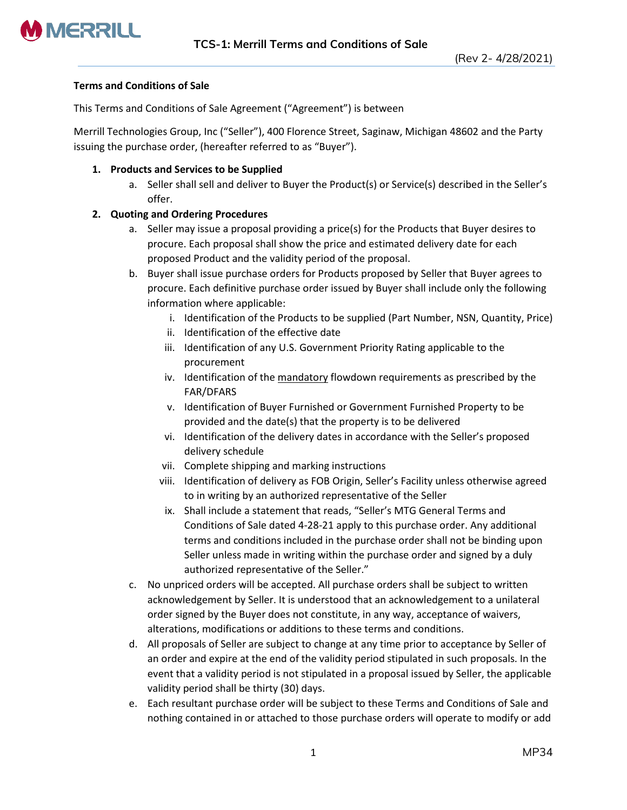

## **Terms and Conditions of Sale**

This Terms and Conditions of Sale Agreement ("Agreement") is between

Merrill Technologies Group, Inc ("Seller"), 400 Florence Street, Saginaw, Michigan 48602 and the Party issuing the purchase order, (hereafter referred to as "Buyer").

## **1. Products and Services to be Supplied**

a. Seller shall sell and deliver to Buyer the Product(s) or Service(s) described in the Seller's offer.

# **2. Quoting and Ordering Procedures**

- a. Seller may issue a proposal providing a price(s) for the Products that Buyer desires to procure. Each proposal shall show the price and estimated delivery date for each proposed Product and the validity period of the proposal.
- b. Buyer shall issue purchase orders for Products proposed by Seller that Buyer agrees to procure. Each definitive purchase order issued by Buyer shall include only the following information where applicable:
	- i. Identification of the Products to be supplied (Part Number, NSN, Quantity, Price)
	- ii. Identification of the effective date
	- iii. Identification of any U.S. Government Priority Rating applicable to the procurement
	- iv. Identification of the mandatory flowdown requirements as prescribed by the FAR/DFARS
	- v. Identification of Buyer Furnished or Government Furnished Property to be provided and the date(s) that the property is to be delivered
	- vi. Identification of the delivery dates in accordance with the Seller's proposed delivery schedule
	- vii. Complete shipping and marking instructions
	- viii. Identification of delivery as FOB Origin, Seller's Facility unless otherwise agreed to in writing by an authorized representative of the Seller
	- ix. Shall include a statement that reads, "Seller's MTG General Terms and Conditions of Sale dated 4-28-21 apply to this purchase order. Any additional terms and conditions included in the purchase order shall not be binding upon Seller unless made in writing within the purchase order and signed by a duly authorized representative of the Seller."
- c. No unpriced orders will be accepted. All purchase orders shall be subject to written acknowledgement by Seller. It is understood that an acknowledgement to a unilateral order signed by the Buyer does not constitute, in any way, acceptance of waivers, alterations, modifications or additions to these terms and conditions.
- d. All proposals of Seller are subject to change at any time prior to acceptance by Seller of an order and expire at the end of the validity period stipulated in such proposals. In the event that a validity period is not stipulated in a proposal issued by Seller, the applicable validity period shall be thirty (30) days.
- e. Each resultant purchase order will be subject to these Terms and Conditions of Sale and nothing contained in or attached to those purchase orders will operate to modify or add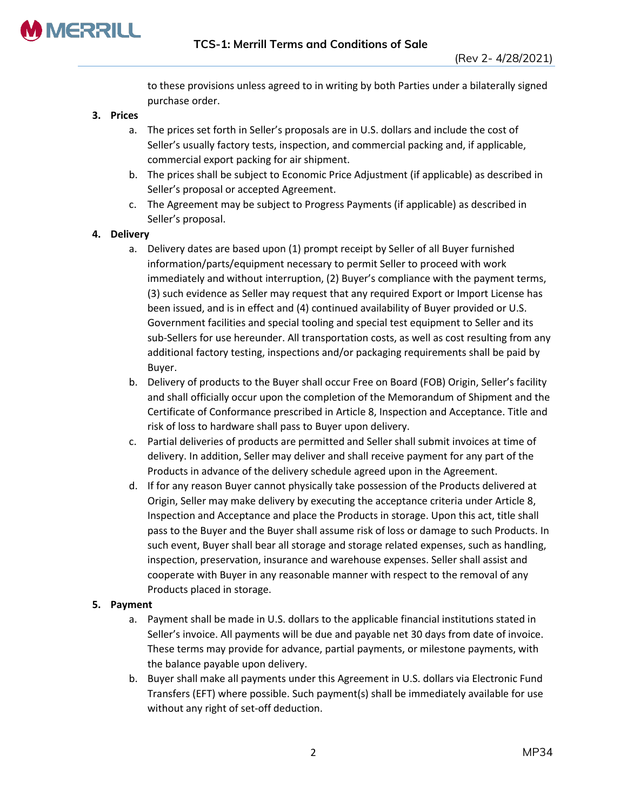

to these provisions unless agreed to in writing by both Parties under a bilaterally signed purchase order.

- **3. Prices**
	- a. The prices set forth in Seller's proposals are in U.S. dollars and include the cost of Seller's usually factory tests, inspection, and commercial packing and, if applicable, commercial export packing for air shipment.
	- b. The prices shall be subject to Economic Price Adjustment (if applicable) as described in Seller's proposal or accepted Agreement.
	- c. The Agreement may be subject to Progress Payments (if applicable) as described in Seller's proposal.

## **4. Delivery**

- a. Delivery dates are based upon (1) prompt receipt by Seller of all Buyer furnished information/parts/equipment necessary to permit Seller to proceed with work immediately and without interruption, (2) Buyer's compliance with the payment terms, (3) such evidence as Seller may request that any required Export or Import License has been issued, and is in effect and (4) continued availability of Buyer provided or U.S. Government facilities and special tooling and special test equipment to Seller and its sub-Sellers for use hereunder. All transportation costs, as well as cost resulting from any additional factory testing, inspections and/or packaging requirements shall be paid by Buyer.
- b. Delivery of products to the Buyer shall occur Free on Board (FOB) Origin, Seller's facility and shall officially occur upon the completion of the Memorandum of Shipment and the Certificate of Conformance prescribed in Article 8, Inspection and Acceptance. Title and risk of loss to hardware shall pass to Buyer upon delivery.
- c. Partial deliveries of products are permitted and Seller shall submit invoices at time of delivery. In addition, Seller may deliver and shall receive payment for any part of the Products in advance of the delivery schedule agreed upon in the Agreement.
- d. If for any reason Buyer cannot physically take possession of the Products delivered at Origin, Seller may make delivery by executing the acceptance criteria under Article 8, Inspection and Acceptance and place the Products in storage. Upon this act, title shall pass to the Buyer and the Buyer shall assume risk of loss or damage to such Products. In such event, Buyer shall bear all storage and storage related expenses, such as handling, inspection, preservation, insurance and warehouse expenses. Seller shall assist and cooperate with Buyer in any reasonable manner with respect to the removal of any Products placed in storage.

### **5. Payment**

- a. Payment shall be made in U.S. dollars to the applicable financial institutions stated in Seller's invoice. All payments will be due and payable net 30 days from date of invoice. These terms may provide for advance, partial payments, or milestone payments, with the balance payable upon delivery.
- b. Buyer shall make all payments under this Agreement in U.S. dollars via Electronic Fund Transfers (EFT) where possible. Such payment(s) shall be immediately available for use without any right of set-off deduction.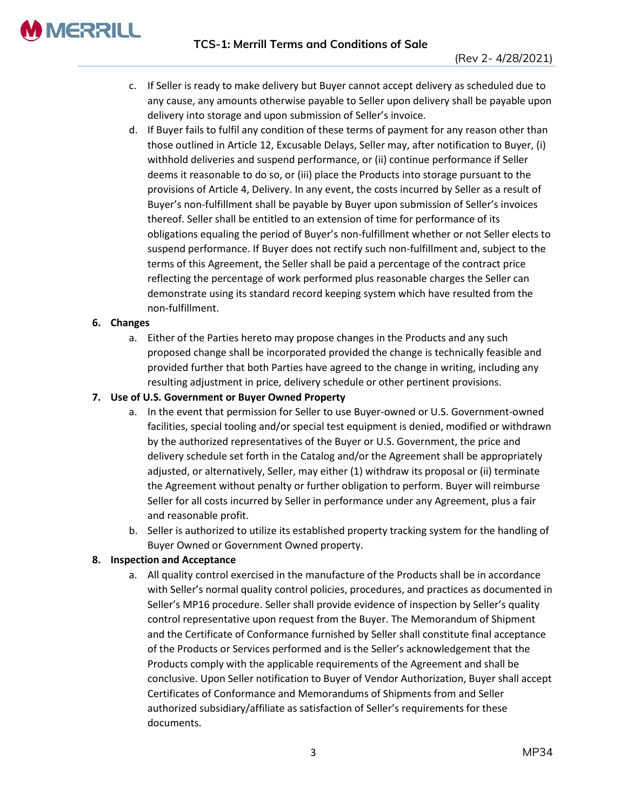

- c. If Seller is ready to make delivery but Buyer cannot accept delivery as scheduled due to any cause, any amounts otherwise payable to Seller upon delivery shall be payable upon delivery into storage and upon submission of Seller's invoice.
- d. If Buyer fails to fulfil any condition of these terms of payment for any reason other than those outlined in Article 12, Excusable Delays, Seller may, after notification to Buyer, (i) withhold deliveries and suspend performance, or (ii) continue performance if Seller deems it reasonable to do so, or (iii) place the Products into storage pursuant to the provisions of Article 4, Delivery. In any event, the costs incurred by Seller as a result of Buyer's non-fulfillment shall be payable by Buyer upon submission of Seller's invoices thereof. Seller shall be entitled to an extension of time for performance of its obligations equaling the period of Buyer's non-fulfillment whether or not Seller elects to suspend performance. If Buyer does not rectify such non-fulfillment and, subject to the terms of this Agreement, the Seller shall be paid a percentage of the contract price reflecting the percentage of work performed plus reasonable charges the Seller can demonstrate using its standard record keeping system which have resulted from the non-fulfillment.

# **6. Changes**

a. Either of the Parties hereto may propose changes in the Products and any such proposed change shall be incorporated provided the change is technically feasible and provided further that both Parties have agreed to the change in writing, including any resulting adjustment in price, delivery schedule or other pertinent provisions.

# **7. Use of U.S. Government or Buyer Owned Property**

- a. In the event that permission for Seller to use Buyer-owned or U.S. Government-owned facilities, special tooling and/or special test equipment is denied, modified or withdrawn by the authorized representatives of the Buyer or U.S. Government, the price and delivery schedule set forth in the Catalog and/or the Agreement shall be appropriately adjusted, or alternatively, Seller, may either (1) withdraw its proposal or (ii) terminate the Agreement without penalty or further obligation to perform. Buyer will reimburse Seller for all costs incurred by Seller in performance under any Agreement, plus a fair and reasonable profit.
- b. Seller is authorized to utilize its established property tracking system for the handling of Buyer Owned or Government Owned property.

# **8. Inspection and Acceptance**

a. All quality control exercised in the manufacture of the Products shall be in accordance with Seller's normal quality control policies, procedures, and practices as documented in Seller's MP16 procedure. Seller shall provide evidence of inspection by Seller's quality control representative upon request from the Buyer. The Memorandum of Shipment and the Certificate of Conformance furnished by Seller shall constitute final acceptance of the Products or Services performed and is the Seller's acknowledgement that the Products comply with the applicable requirements of the Agreement and shall be conclusive. Upon Seller notification to Buyer of Vendor Authorization, Buyer shall accept Certificates of Conformance and Memorandums of Shipments from and Seller authorized subsidiary/affiliate as satisfaction of Seller's requirements for these documents.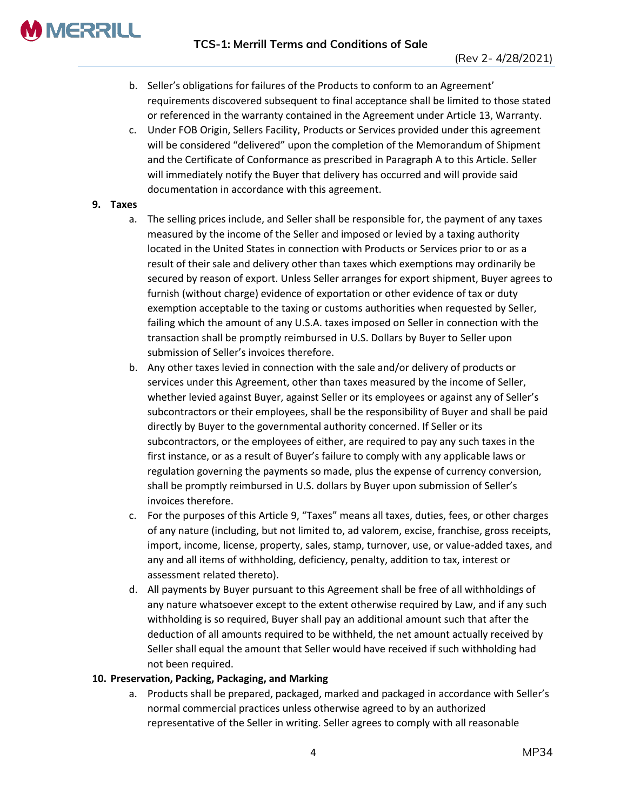

- b. Seller's obligations for failures of the Products to conform to an Agreement' requirements discovered subsequent to final acceptance shall be limited to those stated or referenced in the warranty contained in the Agreement under Article 13, Warranty.
- c. Under FOB Origin, Sellers Facility, Products or Services provided under this agreement will be considered "delivered" upon the completion of the Memorandum of Shipment and the Certificate of Conformance as prescribed in Paragraph A to this Article. Seller will immediately notify the Buyer that delivery has occurred and will provide said documentation in accordance with this agreement.

## **9. Taxes**

- a. The selling prices include, and Seller shall be responsible for, the payment of any taxes measured by the income of the Seller and imposed or levied by a taxing authority located in the United States in connection with Products or Services prior to or as a result of their sale and delivery other than taxes which exemptions may ordinarily be secured by reason of export. Unless Seller arranges for export shipment, Buyer agrees to furnish (without charge) evidence of exportation or other evidence of tax or duty exemption acceptable to the taxing or customs authorities when requested by Seller, failing which the amount of any U.S.A. taxes imposed on Seller in connection with the transaction shall be promptly reimbursed in U.S. Dollars by Buyer to Seller upon submission of Seller's invoices therefore.
- b. Any other taxes levied in connection with the sale and/or delivery of products or services under this Agreement, other than taxes measured by the income of Seller, whether levied against Buyer, against Seller or its employees or against any of Seller's subcontractors or their employees, shall be the responsibility of Buyer and shall be paid directly by Buyer to the governmental authority concerned. If Seller or its subcontractors, or the employees of either, are required to pay any such taxes in the first instance, or as a result of Buyer's failure to comply with any applicable laws or regulation governing the payments so made, plus the expense of currency conversion, shall be promptly reimbursed in U.S. dollars by Buyer upon submission of Seller's invoices therefore.
- c. For the purposes of this Article 9, "Taxes" means all taxes, duties, fees, or other charges of any nature (including, but not limited to, ad valorem, excise, franchise, gross receipts, import, income, license, property, sales, stamp, turnover, use, or value-added taxes, and any and all items of withholding, deficiency, penalty, addition to tax, interest or assessment related thereto).
- d. All payments by Buyer pursuant to this Agreement shall be free of all withholdings of any nature whatsoever except to the extent otherwise required by Law, and if any such withholding is so required, Buyer shall pay an additional amount such that after the deduction of all amounts required to be withheld, the net amount actually received by Seller shall equal the amount that Seller would have received if such withholding had not been required.

# **10. Preservation, Packing, Packaging, and Marking**

a. Products shall be prepared, packaged, marked and packaged in accordance with Seller's normal commercial practices unless otherwise agreed to by an authorized representative of the Seller in writing. Seller agrees to comply with all reasonable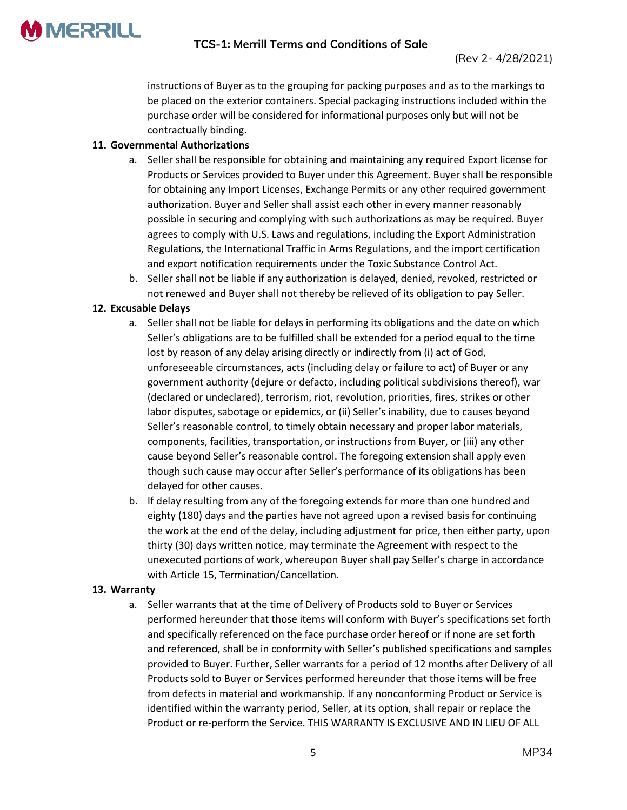

instructions of Buyer as to the grouping for packing purposes and as to the markings to be placed on the exterior containers. Special packaging instructions included within the purchase order will be considered for informational purposes only but will not be contractually binding.

# **11. Governmental Authorizations**

- a. Seller shall be responsible for obtaining and maintaining any required Export license for Products or Services provided to Buyer under this Agreement. Buyer shall be responsible for obtaining any Import Licenses, Exchange Permits or any other required government authorization. Buyer and Seller shall assist each other in every manner reasonably possible in securing and complying with such authorizations as may be required. Buyer agrees to comply with U.S. Laws and regulations, including the Export Administration Regulations, the International Traffic in Arms Regulations, and the import certification and export notification requirements under the Toxic Substance Control Act.
- b. Seller shall not be liable if any authorization is delayed, denied, revoked, restricted or not renewed and Buyer shall not thereby be relieved of its obligation to pay Seller.

# **12. Excusable Delays**

- a. Seller shall not be liable for delays in performing its obligations and the date on which Seller's obligations are to be fulfilled shall be extended for a period equal to the time lost by reason of any delay arising directly or indirectly from (i) act of God, unforeseeable circumstances, acts (including delay or failure to act) of Buyer or any government authority (dejure or defacto, including political subdivisions thereof), war (declared or undeclared), terrorism, riot, revolution, priorities, fires, strikes or other labor disputes, sabotage or epidemics, or (ii) Seller's inability, due to causes beyond Seller's reasonable control, to timely obtain necessary and proper labor materials, components, facilities, transportation, or instructions from Buyer, or (iii) any other cause beyond Seller's reasonable control. The foregoing extension shall apply even though such cause may occur after Seller's performance of its obligations has been delayed for other causes.
- b. If delay resulting from any of the foregoing extends for more than one hundred and eighty (180) days and the parties have not agreed upon a revised basis for continuing the work at the end of the delay, including adjustment for price, then either party, upon thirty (30) days written notice, may terminate the Agreement with respect to the unexecuted portions of work, whereupon Buyer shall pay Seller's charge in accordance with Article 15, Termination/Cancellation.

# **13. Warranty**

a. Seller warrants that at the time of Delivery of Products sold to Buyer or Services performed hereunder that those items will conform with Buyer's specifications set forth and specifically referenced on the face purchase order hereof or if none are set forth and referenced, shall be in conformity with Seller's published specifications and samples provided to Buyer. Further, Seller warrants for a period of 12 months after Delivery of all Products sold to Buyer or Services performed hereunder that those items will be free from defects in material and workmanship. If any nonconforming Product or Service is identified within the warranty period, Seller, at its option, shall repair or replace the Product or re-perform the Service. THIS WARRANTY IS EXCLUSIVE AND IN LIEU OF ALL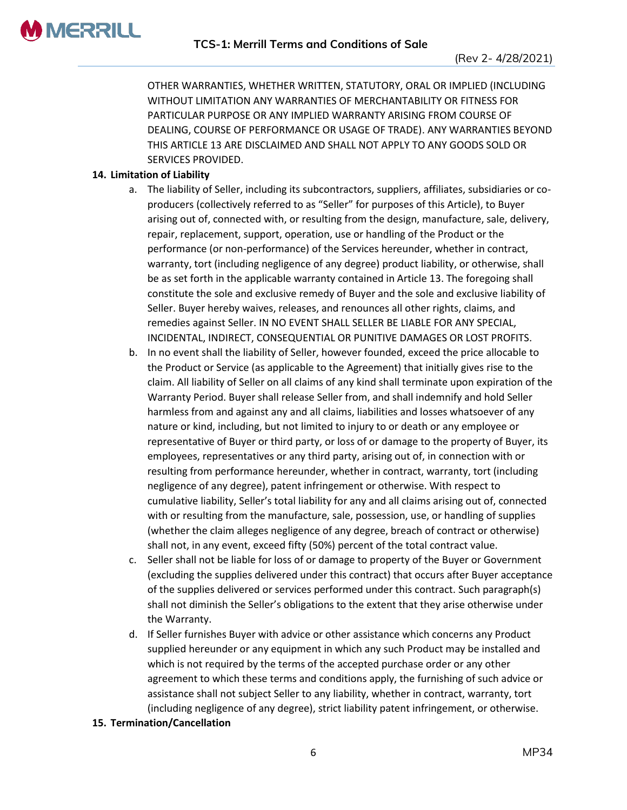OTHER WARRANTIES, WHETHER WRITTEN, STATUTORY, ORAL OR IMPLIED (INCLUDING WITHOUT LIMITATION ANY WARRANTIES OF MERCHANTABILITY OR FITNESS FOR PARTICULAR PURPOSE OR ANY IMPLIED WARRANTY ARISING FROM COURSE OF DEALING, COURSE OF PERFORMANCE OR USAGE OF TRADE). ANY WARRANTIES BEYOND THIS ARTICLE 13 ARE DISCLAIMED AND SHALL NOT APPLY TO ANY GOODS SOLD OR SERVICES PROVIDED.

# **14. Limitation of Liability**

- a. The liability of Seller, including its subcontractors, suppliers, affiliates, subsidiaries or coproducers (collectively referred to as "Seller" for purposes of this Article), to Buyer arising out of, connected with, or resulting from the design, manufacture, sale, delivery, repair, replacement, support, operation, use or handling of the Product or the performance (or non-performance) of the Services hereunder, whether in contract, warranty, tort (including negligence of any degree) product liability, or otherwise, shall be as set forth in the applicable warranty contained in Article 13. The foregoing shall constitute the sole and exclusive remedy of Buyer and the sole and exclusive liability of Seller. Buyer hereby waives, releases, and renounces all other rights, claims, and remedies against Seller. IN NO EVENT SHALL SELLER BE LIABLE FOR ANY SPECIAL, INCIDENTAL, INDIRECT, CONSEQUENTIAL OR PUNITIVE DAMAGES OR LOST PROFITS.
- b. In no event shall the liability of Seller, however founded, exceed the price allocable to the Product or Service (as applicable to the Agreement) that initially gives rise to the claim. All liability of Seller on all claims of any kind shall terminate upon expiration of the Warranty Period. Buyer shall release Seller from, and shall indemnify and hold Seller harmless from and against any and all claims, liabilities and losses whatsoever of any nature or kind, including, but not limited to injury to or death or any employee or representative of Buyer or third party, or loss of or damage to the property of Buyer, its employees, representatives or any third party, arising out of, in connection with or resulting from performance hereunder, whether in contract, warranty, tort (including negligence of any degree), patent infringement or otherwise. With respect to cumulative liability, Seller's total liability for any and all claims arising out of, connected with or resulting from the manufacture, sale, possession, use, or handling of supplies (whether the claim alleges negligence of any degree, breach of contract or otherwise) shall not, in any event, exceed fifty (50%) percent of the total contract value.
- c. Seller shall not be liable for loss of or damage to property of the Buyer or Government (excluding the supplies delivered under this contract) that occurs after Buyer acceptance of the supplies delivered or services performed under this contract. Such paragraph(s) shall not diminish the Seller's obligations to the extent that they arise otherwise under the Warranty.
- d. If Seller furnishes Buyer with advice or other assistance which concerns any Product supplied hereunder or any equipment in which any such Product may be installed and which is not required by the terms of the accepted purchase order or any other agreement to which these terms and conditions apply, the furnishing of such advice or assistance shall not subject Seller to any liability, whether in contract, warranty, tort (including negligence of any degree), strict liability patent infringement, or otherwise.

### **15. Termination/Cancellation**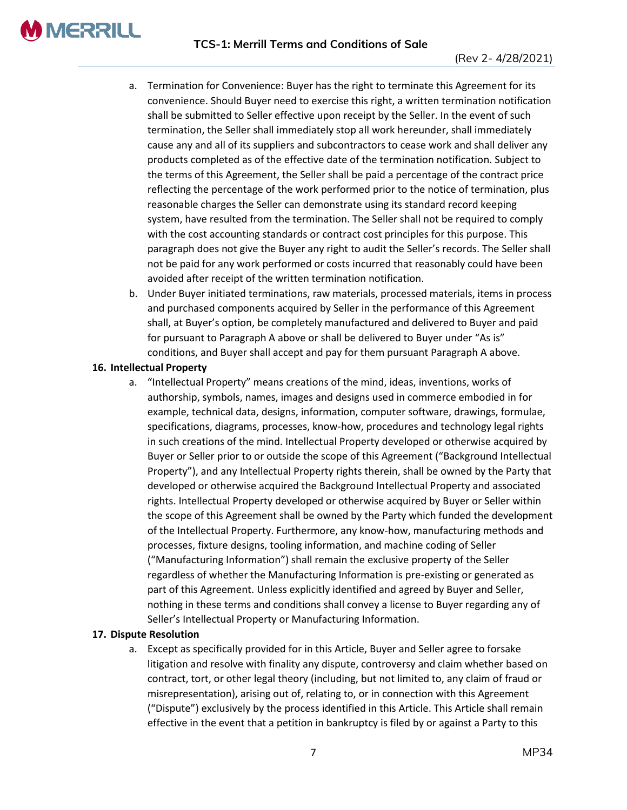# **TCS-1: Merrill Terms and Conditions of Sale**

- a. Termination for Convenience: Buyer has the right to terminate this Agreement for its convenience. Should Buyer need to exercise this right, a written termination notification shall be submitted to Seller effective upon receipt by the Seller. In the event of such termination, the Seller shall immediately stop all work hereunder, shall immediately cause any and all of its suppliers and subcontractors to cease work and shall deliver any products completed as of the effective date of the termination notification. Subject to the terms of this Agreement, the Seller shall be paid a percentage of the contract price reflecting the percentage of the work performed prior to the notice of termination, plus reasonable charges the Seller can demonstrate using its standard record keeping system, have resulted from the termination. The Seller shall not be required to comply with the cost accounting standards or contract cost principles for this purpose. This paragraph does not give the Buyer any right to audit the Seller's records. The Seller shall not be paid for any work performed or costs incurred that reasonably could have been avoided after receipt of the written termination notification.
- b. Under Buyer initiated terminations, raw materials, processed materials, items in process and purchased components acquired by Seller in the performance of this Agreement shall, at Buyer's option, be completely manufactured and delivered to Buyer and paid for pursuant to Paragraph A above or shall be delivered to Buyer under "As is" conditions, and Buyer shall accept and pay for them pursuant Paragraph A above.

## **16. Intellectual Property**

**MERRILL** 

a. "Intellectual Property" means creations of the mind, ideas, inventions, works of authorship, symbols, names, images and designs used in commerce embodied in for example, technical data, designs, information, computer software, drawings, formulae, specifications, diagrams, processes, know-how, procedures and technology legal rights in such creations of the mind. Intellectual Property developed or otherwise acquired by Buyer or Seller prior to or outside the scope of this Agreement ("Background Intellectual Property"), and any Intellectual Property rights therein, shall be owned by the Party that developed or otherwise acquired the Background Intellectual Property and associated rights. Intellectual Property developed or otherwise acquired by Buyer or Seller within the scope of this Agreement shall be owned by the Party which funded the development of the Intellectual Property. Furthermore, any know-how, manufacturing methods and processes, fixture designs, tooling information, and machine coding of Seller ("Manufacturing Information") shall remain the exclusive property of the Seller regardless of whether the Manufacturing Information is pre-existing or generated as part of this Agreement. Unless explicitly identified and agreed by Buyer and Seller, nothing in these terms and conditions shall convey a license to Buyer regarding any of Seller's Intellectual Property or Manufacturing Information.

# **17. Dispute Resolution**

a. Except as specifically provided for in this Article, Buyer and Seller agree to forsake litigation and resolve with finality any dispute, controversy and claim whether based on contract, tort, or other legal theory (including, but not limited to, any claim of fraud or misrepresentation), arising out of, relating to, or in connection with this Agreement ("Dispute") exclusively by the process identified in this Article. This Article shall remain effective in the event that a petition in bankruptcy is filed by or against a Party to this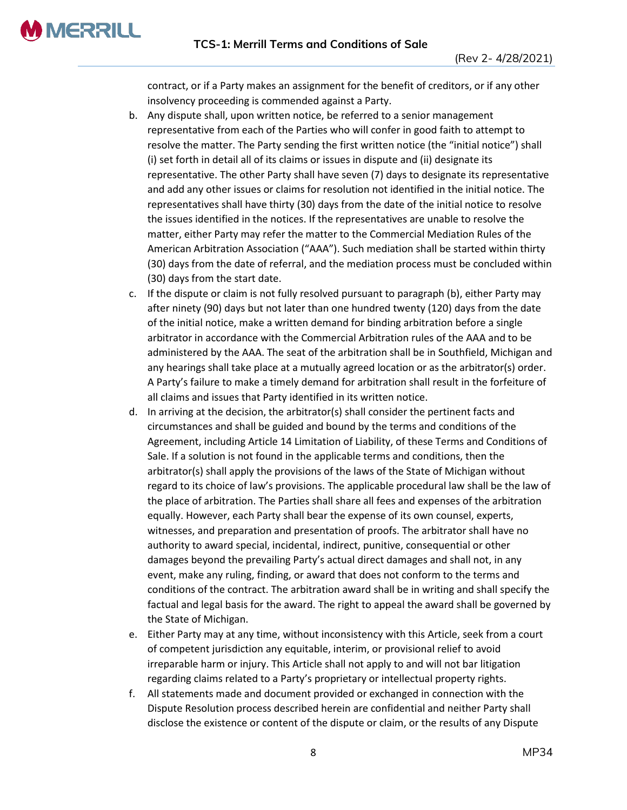**MERRILL** 

contract, or if a Party makes an assignment for the benefit of creditors, or if any other insolvency proceeding is commended against a Party.

- b. Any dispute shall, upon written notice, be referred to a senior management representative from each of the Parties who will confer in good faith to attempt to resolve the matter. The Party sending the first written notice (the "initial notice") shall (i) set forth in detail all of its claims or issues in dispute and (ii) designate its representative. The other Party shall have seven (7) days to designate its representative and add any other issues or claims for resolution not identified in the initial notice. The representatives shall have thirty (30) days from the date of the initial notice to resolve the issues identified in the notices. If the representatives are unable to resolve the matter, either Party may refer the matter to the Commercial Mediation Rules of the American Arbitration Association ("AAA"). Such mediation shall be started within thirty (30) days from the date of referral, and the mediation process must be concluded within (30) days from the start date.
- c. If the dispute or claim is not fully resolved pursuant to paragraph (b), either Party may after ninety (90) days but not later than one hundred twenty (120) days from the date of the initial notice, make a written demand for binding arbitration before a single arbitrator in accordance with the Commercial Arbitration rules of the AAA and to be administered by the AAA. The seat of the arbitration shall be in Southfield, Michigan and any hearings shall take place at a mutually agreed location or as the arbitrator(s) order. A Party's failure to make a timely demand for arbitration shall result in the forfeiture of all claims and issues that Party identified in its written notice.
- d. In arriving at the decision, the arbitrator(s) shall consider the pertinent facts and circumstances and shall be guided and bound by the terms and conditions of the Agreement, including Article 14 Limitation of Liability, of these Terms and Conditions of Sale. If a solution is not found in the applicable terms and conditions, then the arbitrator(s) shall apply the provisions of the laws of the State of Michigan without regard to its choice of law's provisions. The applicable procedural law shall be the law of the place of arbitration. The Parties shall share all fees and expenses of the arbitration equally. However, each Party shall bear the expense of its own counsel, experts, witnesses, and preparation and presentation of proofs. The arbitrator shall have no authority to award special, incidental, indirect, punitive, consequential or other damages beyond the prevailing Party's actual direct damages and shall not, in any event, make any ruling, finding, or award that does not conform to the terms and conditions of the contract. The arbitration award shall be in writing and shall specify the factual and legal basis for the award. The right to appeal the award shall be governed by the State of Michigan.
- e. Either Party may at any time, without inconsistency with this Article, seek from a court of competent jurisdiction any equitable, interim, or provisional relief to avoid irreparable harm or injury. This Article shall not apply to and will not bar litigation regarding claims related to a Party's proprietary or intellectual property rights.
- f. All statements made and document provided or exchanged in connection with the Dispute Resolution process described herein are confidential and neither Party shall disclose the existence or content of the dispute or claim, or the results of any Dispute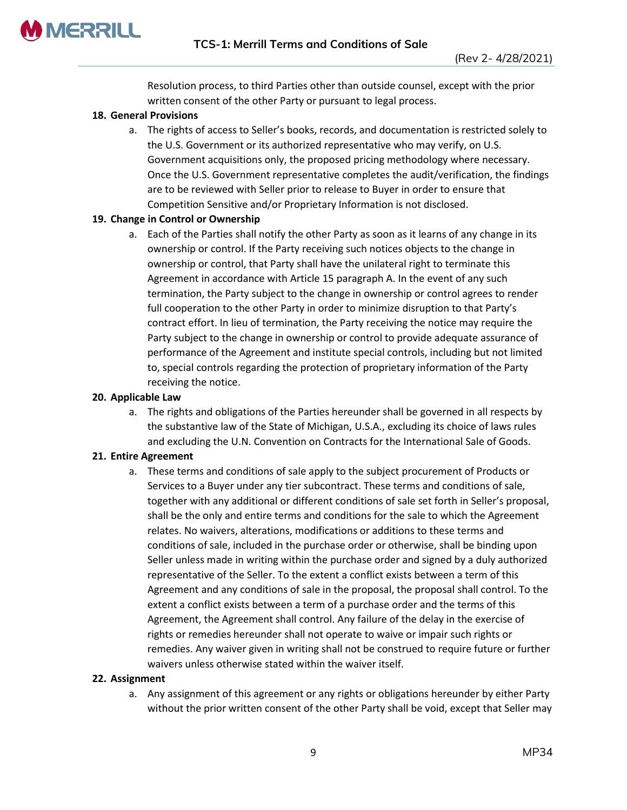

Resolution process, to third Parties other than outside counsel, except with the prior written consent of the other Party or pursuant to legal process.

## **18. General Provisions**

a. The rights of access to Seller's books, records, and documentation is restricted solely to the U.S. Government or its authorized representative who may verify, on U.S. Government acquisitions only, the proposed pricing methodology where necessary. Once the U.S. Government representative completes the audit/verification, the findings are to be reviewed with Seller prior to release to Buyer in order to ensure that Competition Sensitive and/or Proprietary Information is not disclosed.

## **19. Change in Control or Ownership**

a. Each of the Parties shall notify the other Party as soon as it learns of any change in its ownership or control. If the Party receiving such notices objects to the change in ownership or control, that Party shall have the unilateral right to terminate this Agreement in accordance with Article 15 paragraph A. In the event of any such termination, the Party subject to the change in ownership or control agrees to render full cooperation to the other Party in order to minimize disruption to that Party's contract effort. In lieu of termination, the Party receiving the notice may require the Party subject to the change in ownership or control to provide adequate assurance of performance of the Agreement and institute special controls, including but not limited to, special controls regarding the protection of proprietary information of the Party receiving the notice.

### **20. Applicable Law**

a. The rights and obligations of the Parties hereunder shall be governed in all respects by the substantive law of the State of Michigan, U.S.A., excluding its choice of laws rules and excluding the U.N. Convention on Contracts for the International Sale of Goods.

### **21. Entire Agreement**

a. These terms and conditions of sale apply to the subject procurement of Products or Services to a Buyer under any tier subcontract. These terms and conditions of sale, together with any additional or different conditions of sale set forth in Seller's proposal, shall be the only and entire terms and conditions for the sale to which the Agreement relates. No waivers, alterations, modifications or additions to these terms and conditions of sale, included in the purchase order or otherwise, shall be binding upon Seller unless made in writing within the purchase order and signed by a duly authorized representative of the Seller. To the extent a conflict exists between a term of this Agreement and any conditions of sale in the proposal, the proposal shall control. To the extent a conflict exists between a term of a purchase order and the terms of this Agreement, the Agreement shall control. Any failure of the delay in the exercise of rights or remedies hereunder shall not operate to waive or impair such rights or remedies. Any waiver given in writing shall not be construed to require future or further waivers unless otherwise stated within the waiver itself.

### **22. Assignment**

a. Any assignment of this agreement or any rights or obligations hereunder by either Party without the prior written consent of the other Party shall be void, except that Seller may